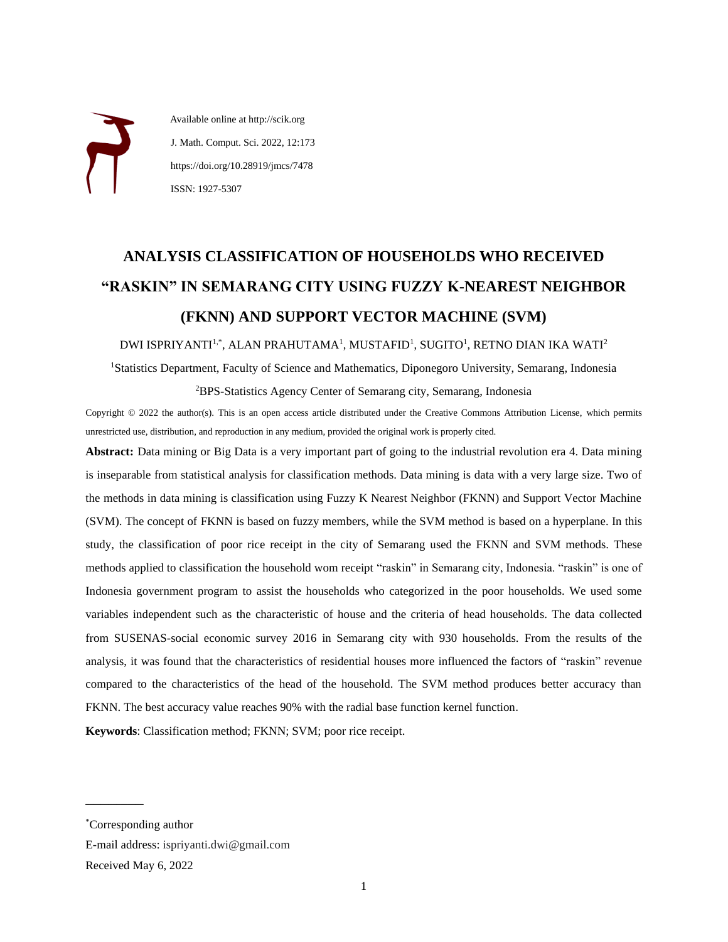Available online at http://scik.org J. Math. Comput. Sci. 2022, 12:173 https://doi.org/10.28919/jmcs/7478 ISSN: 1927-5307

# **ANALYSIS CLASSIFICATION OF HOUSEHOLDS WHO RECEIVED "RASKIN" IN SEMARANG CITY USING FUZZY K-NEAREST NEIGHBOR (FKNN) AND SUPPORT VECTOR MACHINE (SVM)**

DWI ISPRIYANTI<sup>1,\*</sup>, ALAN PRAHUTAMA<sup>1</sup>, MUSTAFID<sup>1</sup>, SUGITO<sup>1</sup>, RETNO DIAN IKA WATI<sup>2</sup>

<sup>1</sup>Statistics Department, Faculty of Science and Mathematics, Diponegoro University, Semarang, Indonesia <sup>2</sup>BPS-Statistics Agency Center of Semarang city, Semarang, Indonesia

Copyright © 2022 the author(s). This is an open access article distributed under the Creative Commons Attribution License, which permits unrestricted use, distribution, and reproduction in any medium, provided the original work is properly cited.

**Abstract:** Data mining or Big Data is a very important part of going to the industrial revolution era 4. Data mining is inseparable from statistical analysis for classification methods. Data mining is data with a very large size. Two of the methods in data mining is classification using Fuzzy K Nearest Neighbor (FKNN) and Support Vector Machine (SVM). The concept of FKNN is based on fuzzy members, while the SVM method is based on a hyperplane. In this study, the classification of poor rice receipt in the city of Semarang used the FKNN and SVM methods. These methods applied to classification the household wom receipt "raskin" in Semarang city, Indonesia. "raskin" is one of Indonesia government program to assist the households who categorized in the poor households. We used some variables independent such as the characteristic of house and the criteria of head households. The data collected from SUSENAS-social economic survey 2016 in Semarang city with 930 households. From the results of the analysis, it was found that the characteristics of residential houses more influenced the factors of "raskin" revenue compared to the characteristics of the head of the household. The SVM method produces better accuracy than FKNN. The best accuracy value reaches 90% with the radial base function kernel function.

**Keywords**: Classification method; FKNN; SVM; poor rice receipt.

 $\mathcal{L}$  , we are the set of the set of the set of the set of the set of the set of the set of the set of the set of the set of the set of the set of the set of the set of the set of the set of the set of the set of the s

<sup>\*</sup>Corresponding author

E-mail address: ispriyanti.dwi@gmail.com

Received May 6, 2022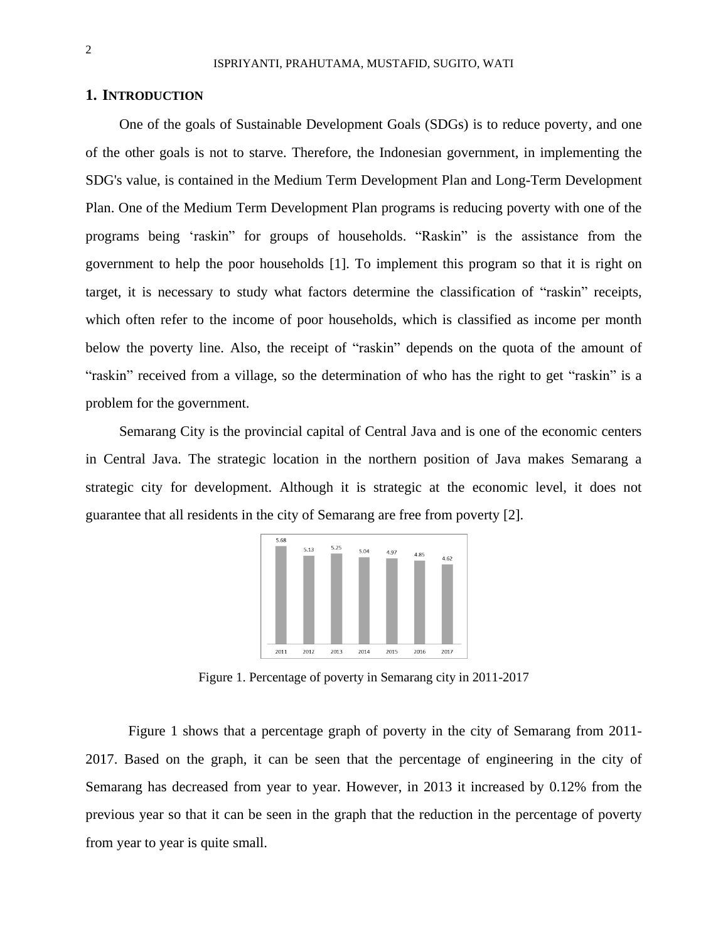### **1. INTRODUCTION**

One of the goals of Sustainable Development Goals (SDGs) is to reduce poverty, and one of the other goals is not to starve. Therefore, the Indonesian government, in implementing the SDG's value, is contained in the Medium Term Development Plan and Long-Term Development Plan. One of the Medium Term Development Plan programs is reducing poverty with one of the programs being 'raskin" for groups of households. "Raskin" is the assistance from the government to help the poor households [1]. To implement this program so that it is right on target, it is necessary to study what factors determine the classification of "raskin" receipts, which often refer to the income of poor households, which is classified as income per month below the poverty line. Also, the receipt of "raskin" depends on the quota of the amount of "raskin" received from a village, so the determination of who has the right to get "raskin" is a problem for the government.

Semarang City is the provincial capital of Central Java and is one of the economic centers in Central Java. The strategic location in the northern position of Java makes Semarang a strategic city for development. Although it is strategic at the economic level, it does not guarantee that all residents in the city of Semarang are free from poverty [2].



Figure 1. Percentage of poverty in Semarang city in 2011-2017

Figure 1 shows that a percentage graph of poverty in the city of Semarang from 2011- 2017. Based on the graph, it can be seen that the percentage of engineering in the city of Semarang has decreased from year to year. However, in 2013 it increased by 0.12% from the previous year so that it can be seen in the graph that the reduction in the percentage of poverty from year to year is quite small.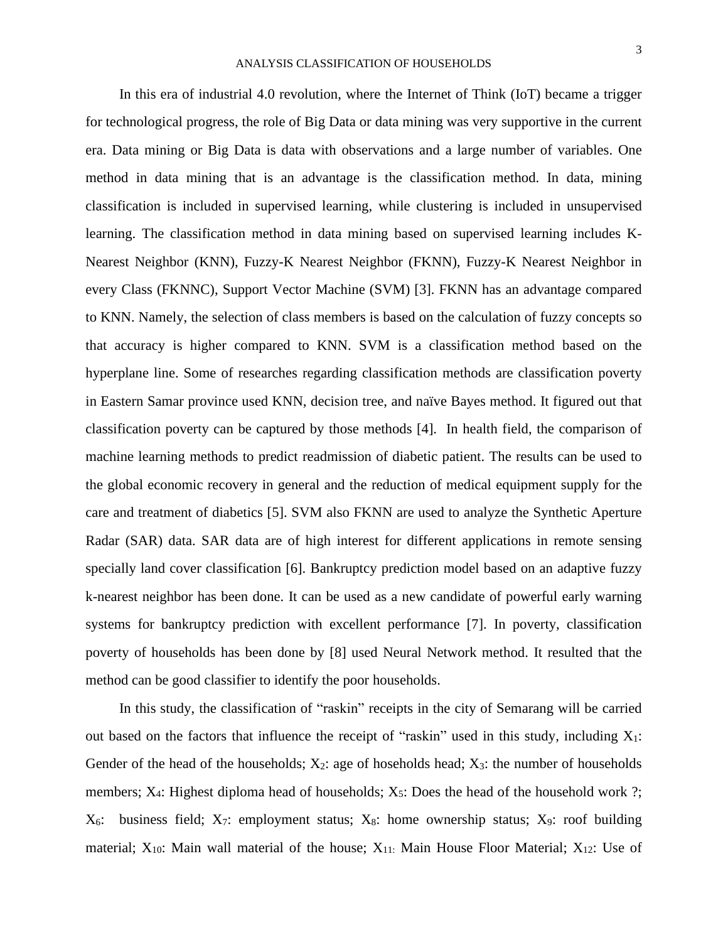In this era of industrial 4.0 revolution, where the Internet of Think (IoT) became a trigger for technological progress, the role of Big Data or data mining was very supportive in the current era. Data mining or Big Data is data with observations and a large number of variables. One method in data mining that is an advantage is the classification method. In data, mining classification is included in supervised learning, while clustering is included in unsupervised learning. The classification method in data mining based on supervised learning includes K-Nearest Neighbor (KNN), Fuzzy-K Nearest Neighbor (FKNN), Fuzzy-K Nearest Neighbor in every Class (FKNNC), Support Vector Machine (SVM) [3]. FKNN has an advantage compared to KNN. Namely, the selection of class members is based on the calculation of fuzzy concepts so that accuracy is higher compared to KNN. SVM is a classification method based on the hyperplane line. Some of researches regarding classification methods are classification poverty in Eastern Samar province used KNN, decision tree, and naïve Bayes method. It figured out that classification poverty can be captured by those methods [4]. In health field, the comparison of machine learning methods to predict readmission of diabetic patient. The results can be used to the global economic recovery in general and the reduction of medical equipment supply for the care and treatment of diabetics [5]. SVM also FKNN are used to analyze the Synthetic Aperture Radar (SAR) data. SAR data are of high interest for different applications in remote sensing specially land cover classification [6]. Bankruptcy prediction model based on an adaptive fuzzy k-nearest neighbor has been done. It can be used as a new candidate of powerful early warning systems for bankruptcy prediction with excellent performance [7]. In poverty, classification poverty of households has been done by [8] used Neural Network method. It resulted that the method can be good classifier to identify the poor households.

In this study, the classification of "raskin" receipts in the city of Semarang will be carried out based on the factors that influence the receipt of "raskin" used in this study, including  $X_1$ : Gender of the head of the households;  $X_2$ : age of hoseholds head;  $X_3$ : the number of households members;  $X_4$ : Highest diploma head of households;  $X_5$ : Does the head of the household work ?;  $X_6$ : business field;  $X_7$ : employment status;  $X_8$ : home ownership status;  $X_9$ : roof building material;  $X_{10}$ : Main wall material of the house;  $X_{11}$ : Main House Floor Material;  $X_{12}$ : Use of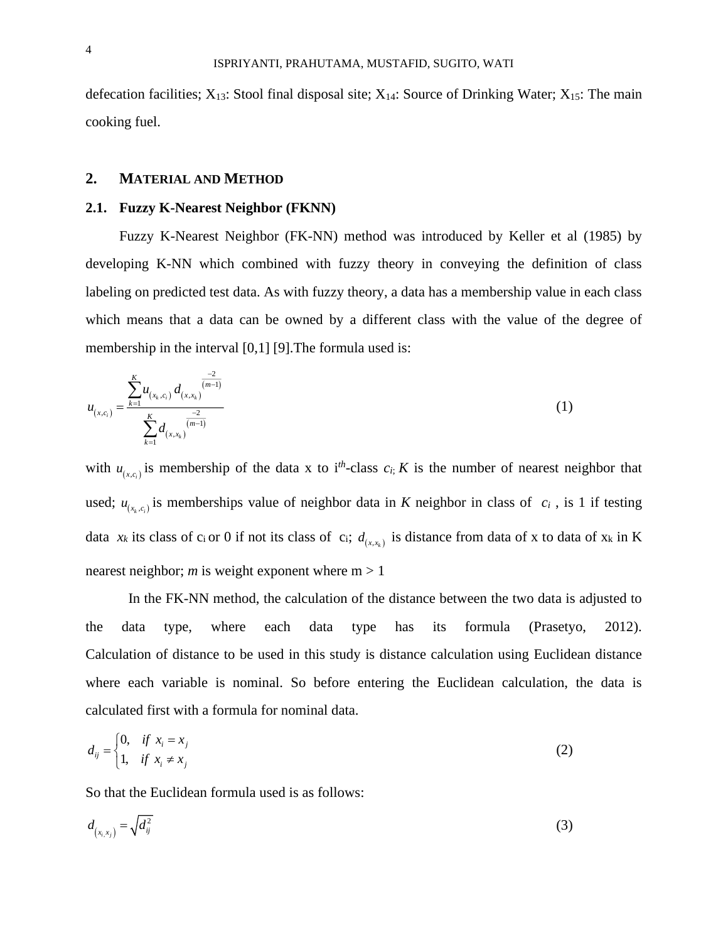defecation facilities;  $X_{13}$ : Stool final disposal site;  $X_{14}$ : Source of Drinking Water;  $X_{15}$ : The main cooking fuel.

## **2. MATERIAL AND METHOD**

### **2.1. Fuzzy K-Nearest Neighbor (FKNN)**

Fuzzy K-Nearest Neighbor (FK-NN) method was introduced by Keller et al (1985) by developing K-NN which combined with fuzzy theory in conveying the definition of class labeling on predicted test data. As with fuzzy theory, a data has a membership value in each class which means that a data can be owned by a different class with the value of the degree of membership in the interval [0,1] [9]. The formula used is:

$$
u_{(x,c_i)} = \frac{\sum_{k=1}^{K} u_{(x_k,c_i)} d_{(x,x_k)}^{\frac{-2}{(m-1)}}}{\sum_{k=1}^{K} d_{(x,x_k)}^{\frac{-2}{(m-1)}}}
$$
(1)

with  $u_{(x,c_i)}$  is membership of the data x to i<sup>th</sup>-class  $c_i$ ; *K* is the number of nearest neighbor that used;  $u_{(x_k,c_i)}$  is memberships value of neighbor data in *K* neighbor in class of  $c_i$ , is 1 if testing data  $x_k$  its class of c<sub>i</sub> or 0 if not its class of c<sub>i</sub>;  $d_{(x,x_k)}$  is distance from data of x to data of  $x_k$  in K nearest neighbor; *m* is weight exponent where  $m > 1$ 

In the FK-NN method, the calculation of the distance between the two data is adjusted to the data type, where each data type has its formula (Prasetyo, 2012). Calculation of distance to be used in this study is distance calculation using Euclidean distance where each variable is nominal. So before entering the Euclidean calculation, the data is calculated first with a formula for nominal data.

$$
d_{ij} = \begin{cases} 0, & \text{if } x_i = x_j \\ 1, & \text{if } x_i \neq x_j \end{cases}
$$
 (2)

So that the Euclidean formula used is as follows:

$$
d_{\left(x_i, x_j\right)} = \sqrt{d_{ij}^2} \tag{3}
$$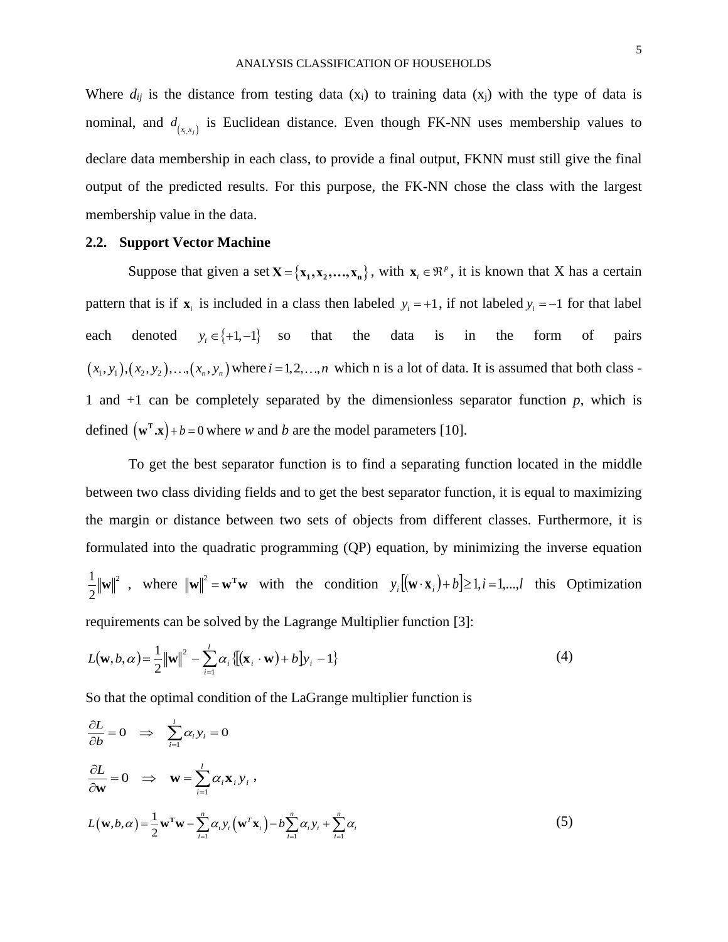Where  $d_{ij}$  is the distance from testing data (x<sub>i</sub>) to training data (x<sub>j</sub>) with the type of data is nominal, and  $d_{(x_i, x_j)}$  is Euclidean distance. Even though FK-NN uses membership values to declare data membership in each class, to provide a final output, FKNN must still give the final output of the predicted results. For this purpose, the FK-NN chose the class with the largest membership value in the data.

### **2.2. Support Vector Machine**

Suppose that given a set  $X = \{x_1, x_2, \dots, x_n\}$ , with  $x_i \in \mathbb{R}^p$ , it is known that X has a certain pattern that is if  $\mathbf{x}_i$  is included in a class then labeled  $y_i = +1$ , if not labeled  $y_i = -1$  for that label each denoted  $y_i \in \{+1, -1\}$  so so that the data is in the form of pairs  $(x_1, y_1), (x_2, y_2), ..., (x_n, y_n)$  where  $i = 1, 2, ..., n$  which n is a lot of data. It is assumed that both class -1 and  $+1$  can be completely separated by the dimensionless separator function  $p$ , which is defined  $(\mathbf{w}^T \cdot \mathbf{x}) + b = 0$  where *w* and *b* are the model parameters [10].

To get the best separator function is to find a separating function located in the middle between two class dividing fields and to get the best separator function, it is equal to maximizing the margin or distance between two sets of objects from different classes. Furthermore, it is formulated into the quadratic programming (QP) equation, by minimizing the inverse equation  $1_{\scriptscriptstyle 1\perp\ldots\perp}$ 12  $\frac{1}{2} ||\mathbf{w}||^2$ , where  $||\mathbf{w}||^2 = \mathbf{w}^T \mathbf{w}$  with the condition  $y_i[(\mathbf{w} \cdot \mathbf{x}_i) + b] \ge 1, i = 1,...,l$  this Optimization requirements can be solved by the Lagrange Multiplier function [3]:

$$
L(\mathbf{w}, b, \alpha) = \frac{1}{2} ||\mathbf{w}||^2 - \sum_{i=1}^{l} \alpha_i \{[(\mathbf{x}_i \cdot \mathbf{w}) + b]y_i - 1\}
$$
(4)

So that the optimal condition of the LaGrange multiplier function is

$$
\frac{\partial L}{\partial b} = 0 \implies \sum_{i=1}^{l} \alpha_i y_i = 0
$$
  

$$
\frac{\partial L}{\partial \mathbf{w}} = 0 \implies \mathbf{w} = \sum_{i=1}^{l} \alpha_i \mathbf{x}_i y_i,
$$
  

$$
L(\mathbf{w}, b, \alpha) = \frac{1}{2} \mathbf{w}^T \mathbf{w} - \sum_{i=1}^{n} \alpha_i y_i (\mathbf{w}^T \mathbf{x}_i) - b \sum_{i=1}^{n} \alpha_i y_i + \sum_{i=1}^{n} \alpha_i
$$
(5)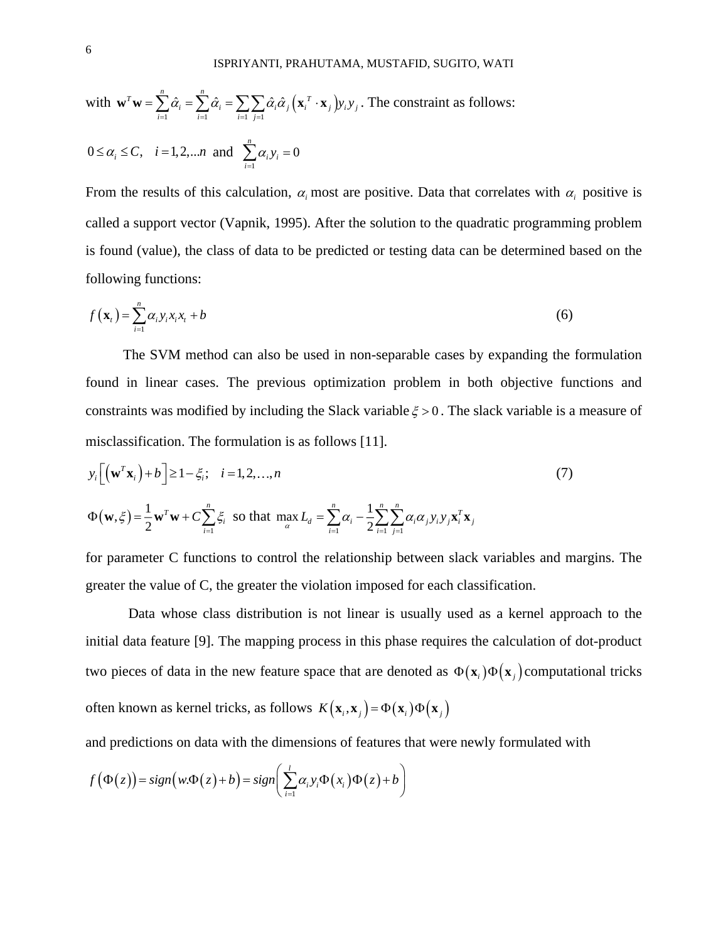with 
$$
\mathbf{w}^T \mathbf{w} = \sum_{i=1}^n \hat{\alpha}_i = \sum_{i=1}^n \hat{\alpha}_i = \sum_{i=1}^n \sum_{j=1} \hat{\alpha}_i \hat{\alpha}_j (\mathbf{x}_i^T \cdot \mathbf{x}_j) y_i y_j
$$
. The constraint as follows:  
\n $0 \le \alpha_i \le C$ ,  $i = 1, 2, ... n$  and  $\sum_{i=1}^n \alpha_i y_i = 0$ 

From the results of this calculation,  $\alpha_i$  most are positive. Data that correlates with  $\alpha_i$  positive is called a support vector (Vapnik, 1995). After the solution to the quadratic programming problem is found (value), the class of data to be predicted or testing data can be determined based on the following functions:

$$
f(\mathbf{x}_{t}) = \sum_{i=1}^{n} \alpha_{i} y_{i} x_{i} x_{t} + b \tag{6}
$$

The SVM method can also be used in non-separable cases by expanding the formulation found in linear cases. The previous optimization problem in both objective functions and constraints was modified by including the Slack variable  $\xi > 0$ . The slack variable is a measure of misclassification. The formulation is as follows [11].

$$
y_i \left[ \left( \mathbf{w}^T \mathbf{x}_i \right) + b \right] \ge 1 - \xi_i; \quad i = 1, 2, ..., n
$$
  

$$
\Phi(\mathbf{w}, \xi) = \frac{1}{2} \mathbf{w}^T \mathbf{w} + C \sum_{i=1}^n \xi_i \text{ so that } \max_{\alpha} L_d = \sum_{i=1}^n \alpha_i - \frac{1}{2} \sum_{i=1}^n \sum_{j=1}^n \alpha_i \alpha_j y_i y_j \mathbf{x}_i^T \mathbf{x}_j
$$
 (7)

for parameter C functions to control the relationship between slack variables and margins. The greater the value of C, the greater the violation imposed for each classification.

Data whose class distribution is not linear is usually used as a kernel approach to the initial data feature [9]. The mapping process in this phase requires the calculation of dot-product two pieces of data in the new feature space that are denoted as  $\Phi(\mathbf{x}_i)\Phi(\mathbf{x}_j)$  computational tricks often known as kernel tricks, as follows  $K(\mathbf{x}_i, \mathbf{x}_j) = \Phi(\mathbf{x}_i) \Phi(\mathbf{x}_j)$ 

and predictions on data with the dimensions of features that were newly formulated with

$$
f(\Phi(z)) = sign(w.\Phi(z) + b) = sign\left(\sum_{i=1}^{l} \alpha_i y_i \Phi(x_i) \Phi(z) + b\right)
$$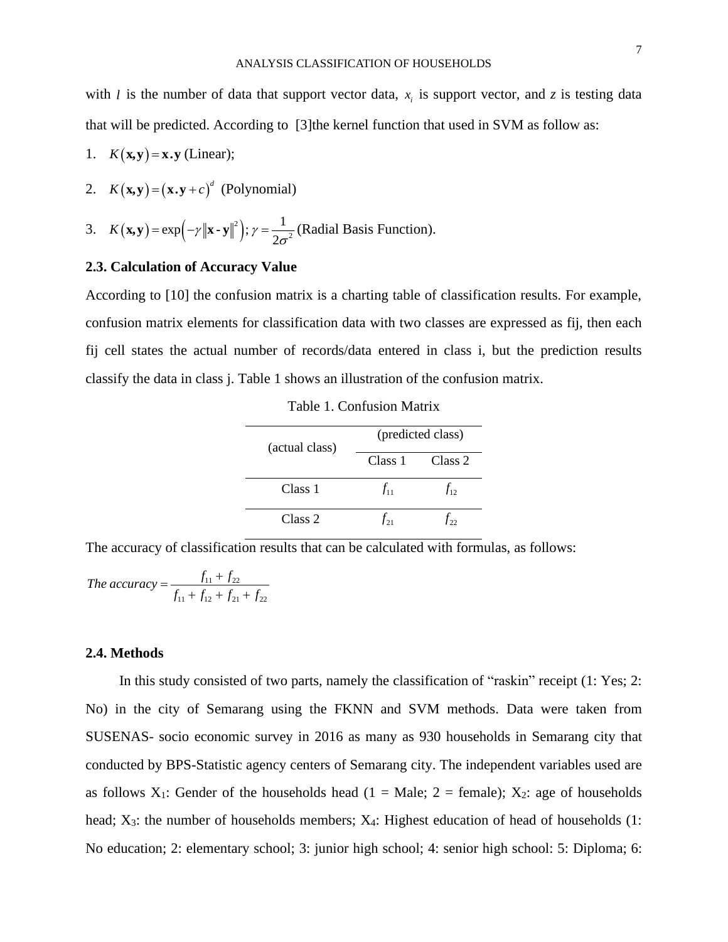7

with *l* is the number of data that support vector data,  $x_i$  is support vector, and *z* is testing data that will be predicted. According to [3]the kernel function that used in SVM as follow as:

- 1.  $K(\mathbf{x}, \mathbf{y}) = \mathbf{x} \cdot \mathbf{y}$  (Linear);
- 2.  $K(\mathbf{x}, \mathbf{y}) = (\mathbf{x} \cdot \mathbf{y} + c)^d$  (Polynomial)

3. 
$$
K(\mathbf{x}, \mathbf{y}) = \exp(-\gamma \|\mathbf{x} - \mathbf{y}\|^2); \gamma = \frac{1}{2\sigma^2}
$$
 (Radial Basis Function).

# **2.3. Calculation of Accuracy Value**

According to [10] the confusion matrix is a charting table of classification results. For example, confusion matrix elements for classification data with two classes are expressed as fij, then each fij cell states the actual number of records/data entered in class i, but the prediction results classify the data in class j. Table 1 shows an illustration of the confusion matrix.

Table 1. Confusion Matrix

| (actual class) | (predicted class)  |          |
|----------------|--------------------|----------|
|                | Class 1            | Class 2  |
| Class 1        | $f_{11}$           | $J_{12}$ |
| Class 2        | $\mathcal{T}_{21}$ | $t_{22}$ |

The accuracy of classification results that can be calculated with formulas, as follows:

The accuracy = 
$$
\frac{f_{11} + f_{22}}{f_{11} + f_{12} + f_{21} + f_{22}}
$$

# **2.4. Methods**

In this study consisted of two parts, namely the classification of "raskin" receipt (1: Yes; 2: No) in the city of Semarang using the FKNN and SVM methods. Data were taken from SUSENAS- socio economic survey in 2016 as many as 930 households in Semarang city that conducted by BPS-Statistic agency centers of Semarang city. The independent variables used are as follows  $X_1$ : Gender of the households head (1 = Male; 2 = female);  $X_2$ : age of households head; X<sub>3</sub>: the number of households members; X<sub>4</sub>: Highest education of head of households (1: No education; 2: elementary school; 3: junior high school; 4: senior high school: 5: Diploma; 6: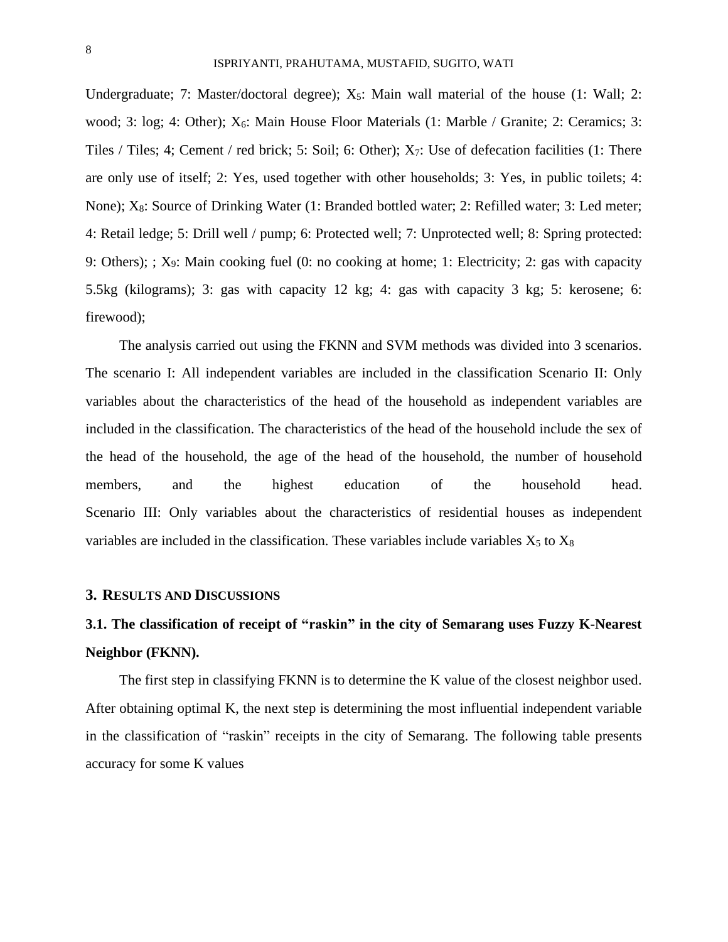Undergraduate; 7: Master/doctoral degree); X<sub>5</sub>: Main wall material of the house (1: Wall; 2: wood; 3: log; 4: Other);  $X_6$ : Main House Floor Materials (1: Marble / Granite; 2: Ceramics; 3: Tiles / Tiles; 4; Cement / red brick; 5: Soil; 6: Other);  $X_7$ : Use of defecation facilities (1: There are only use of itself; 2: Yes, used together with other households; 3: Yes, in public toilets; 4: None); X8: Source of Drinking Water (1: Branded bottled water; 2: Refilled water; 3: Led meter; 4: Retail ledge; 5: Drill well / pump; 6: Protected well; 7: Unprotected well; 8: Spring protected: 9: Others); ; X9: Main cooking fuel (0: no cooking at home; 1: Electricity; 2: gas with capacity 5.5kg (kilograms); 3: gas with capacity 12 kg; 4: gas with capacity 3 kg; 5: kerosene; 6: firewood);

The analysis carried out using the FKNN and SVM methods was divided into 3 scenarios. The scenario I: All independent variables are included in the classification Scenario II: Only variables about the characteristics of the head of the household as independent variables are included in the classification. The characteristics of the head of the household include the sex of the head of the household, the age of the head of the household, the number of household members, and the highest education of the household head. Scenario III: Only variables about the characteristics of residential houses as independent variables are included in the classification. These variables include variables  $X_5$  to  $X_8$ 

## **3. RESULTS AND DISCUSSIONS**

# **3.1. The classification of receipt of "raskin" in the city of Semarang uses Fuzzy K-Nearest Neighbor (FKNN).**

The first step in classifying FKNN is to determine the K value of the closest neighbor used. After obtaining optimal K, the next step is determining the most influential independent variable in the classification of "raskin" receipts in the city of Semarang. The following table presents accuracy for some K values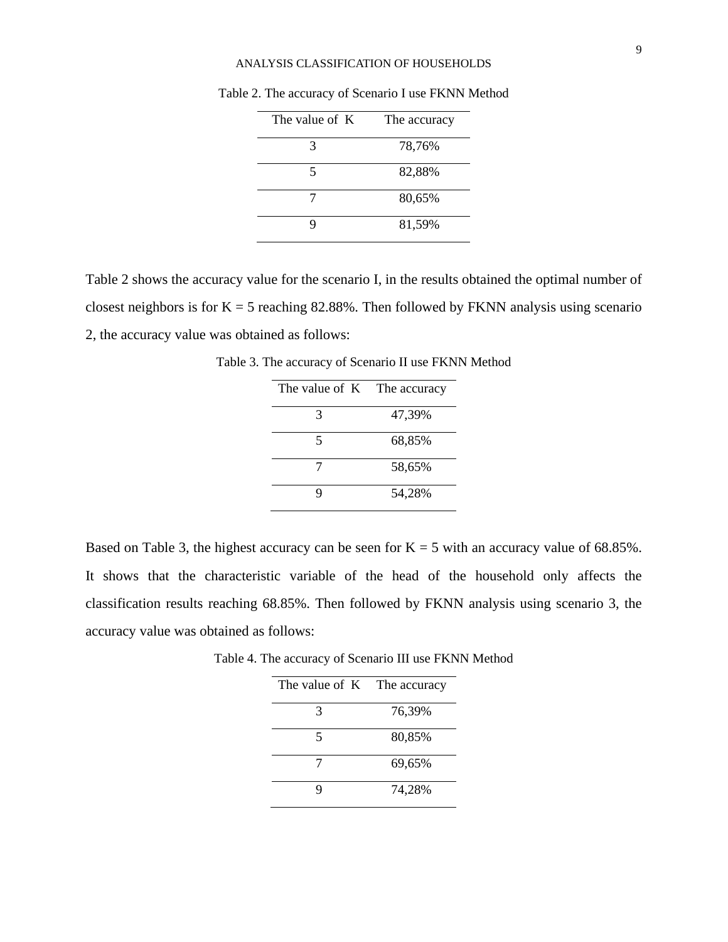#### ANALYSIS CLASSIFICATION OF HOUSEHOLDS

| The value of K | The accuracy |
|----------------|--------------|
| $\mathcal{R}$  | 78,76%       |
| 5              | 82,88%       |
|                | 80,65%       |
|                | 81,59%       |

Table 2. The accuracy of Scenario I use FKNN Method

Table 2 shows the accuracy value for the scenario I, in the results obtained the optimal number of closest neighbors is for  $K = 5$  reaching 82.88%. Then followed by FKNN analysis using scenario 2, the accuracy value was obtained as follows:

Table 3. The accuracy of Scenario II use FKNN Method

| The value of K The accuracy |        |
|-----------------------------|--------|
| 3                           | 47,39% |
| 5                           | 68,85% |
| 7                           | 58,65% |
| Q                           | 54,28% |

Based on Table 3, the highest accuracy can be seen for  $K = 5$  with an accuracy value of 68.85%. It shows that the characteristic variable of the head of the household only affects the classification results reaching 68.85%. Then followed by FKNN analysis using scenario 3, the accuracy value was obtained as follows:

| Table 4. The accuracy of Scenario III use FKNN Method |  |  |
|-------------------------------------------------------|--|--|
| The value of $K$ The accuracy                         |  |  |

| The value of $K$ The accuracy |        |
|-------------------------------|--------|
| 3                             | 76,39% |
| 5                             | 80,85% |
| 7                             | 69,65% |
|                               | 74,28% |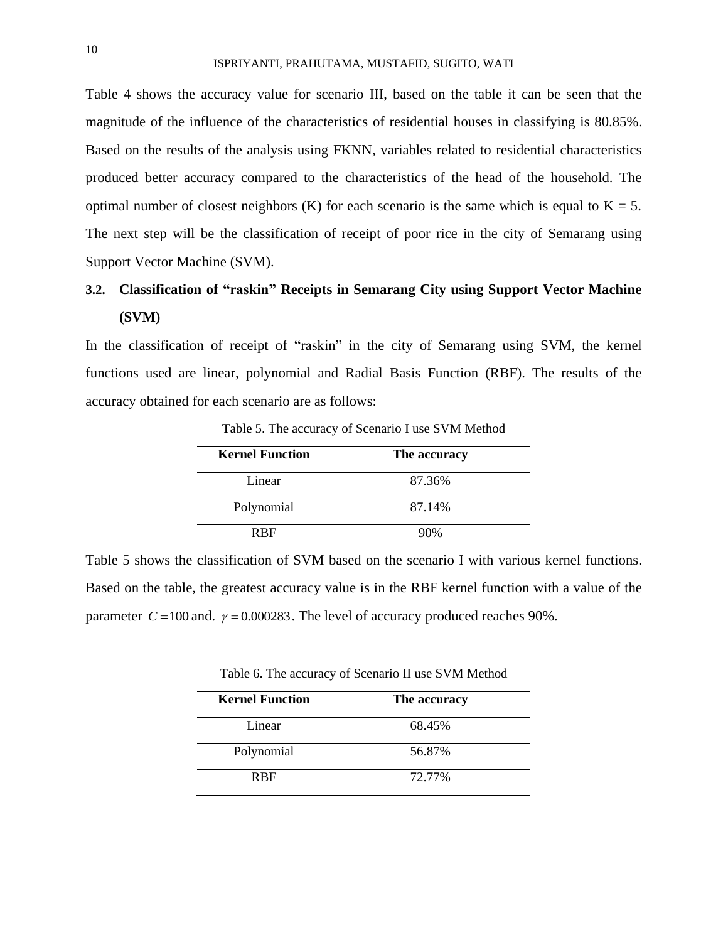Table 4 shows the accuracy value for scenario III, based on the table it can be seen that the magnitude of the influence of the characteristics of residential houses in classifying is 80.85%. Based on the results of the analysis using FKNN, variables related to residential characteristics produced better accuracy compared to the characteristics of the head of the household. The optimal number of closest neighbors (K) for each scenario is the same which is equal to  $K = 5$ . The next step will be the classification of receipt of poor rice in the city of Semarang using Support Vector Machine (SVM).

# **3.2. Classification of "raskin" Receipts in Semarang City using Support Vector Machine (SVM)**

In the classification of receipt of "raskin" in the city of Semarang using SVM, the kernel functions used are linear, polynomial and Radial Basis Function (RBF). The results of the accuracy obtained for each scenario are as follows:

| <b>Kernel Function</b> | The accuracy |
|------------------------|--------------|
| Linear                 | 87.36%       |
| Polynomial             | 87.14%       |
| <b>RBF</b>             | 90%          |

Table 5. The accuracy of Scenario I use SVM Method

Table 5 shows the classification of SVM based on the scenario I with various kernel functions. Based on the table, the greatest accuracy value is in the RBF kernel function with a value of the parameter  $C = 100$  and.  $\gamma = 0.000283$ . The level of accuracy produced reaches 90%.

Table 6. The accuracy of Scenario II use SVM Method

| <b>Kernel Function</b> | The accuracy |  |
|------------------------|--------------|--|
| Linear                 | 68.45%       |  |
| Polynomial             | 56.87%       |  |
| <b>R</b> RF            | 72.77%       |  |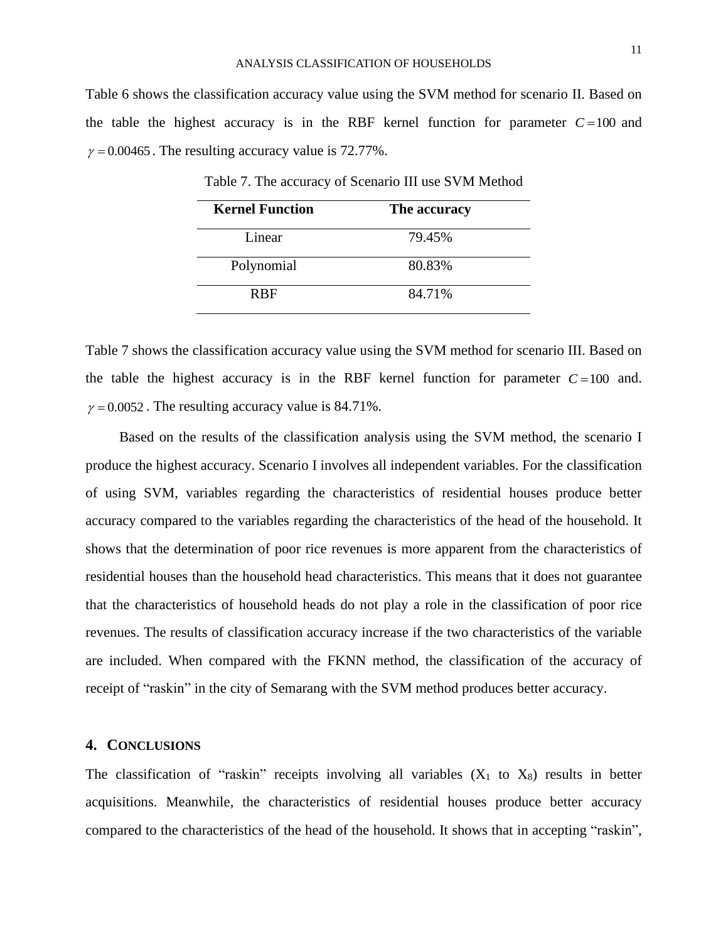Table 6 shows the classification accuracy value using the SVM method for scenario II. Based on the table the highest accuracy is in the RBF kernel function for parameter  $C = 100$  and  $\gamma = 0.00465$ . The resulting accuracy value is 72.77%.

| <b>Kernel Function</b> | The accuracy |
|------------------------|--------------|
| Linear                 | 79.45%       |
| Polynomial             | 80.83%       |
| <b>R</b> <sub>R</sub>  | 84.71%       |

Table 7. The accuracy of Scenario III use SVM Method

Table 7 shows the classification accuracy value using the SVM method for scenario III. Based on the table the highest accuracy is in the RBF kernel function for parameter  $C = 100$  and.  $\gamma = 0.0052$ . The resulting accuracy value is 84.71%.

Based on the results of the classification analysis using the SVM method, the scenario I produce the highest accuracy. Scenario I involves all independent variables. For the classification of using SVM, variables regarding the characteristics of residential houses produce better accuracy compared to the variables regarding the characteristics of the head of the household. It shows that the determination of poor rice revenues is more apparent from the characteristics of residential houses than the household head characteristics. This means that it does not guarantee that the characteristics of household heads do not play a role in the classification of poor rice revenues. The results of classification accuracy increase if the two characteristics of the variable are included. When compared with the FKNN method, the classification of the accuracy of receipt of "raskin" in the city of Semarang with the SVM method produces better accuracy.

### **4. CONCLUSIONS**

The classification of "raskin" receipts involving all variables  $(X_1$  to  $X_8$ ) results in better acquisitions. Meanwhile, the characteristics of residential houses produce better accuracy compared to the characteristics of the head of the household. It shows that in accepting "raskin",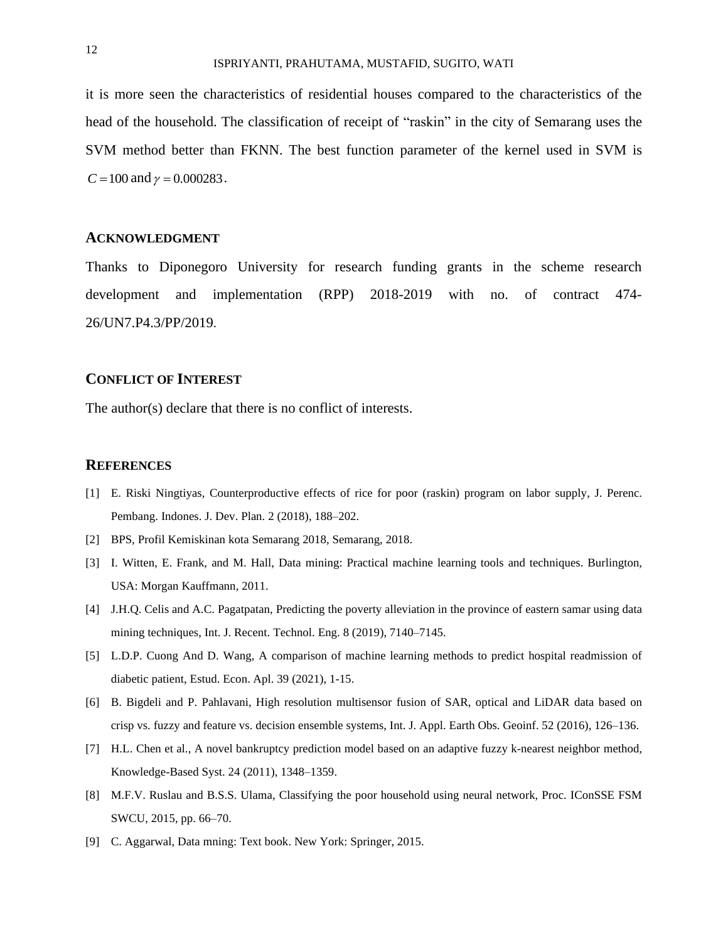it is more seen the characteristics of residential houses compared to the characteristics of the head of the household. The classification of receipt of "raskin" in the city of Semarang uses the SVM method better than FKNN. The best function parameter of the kernel used in SVM is  $C = 100$  and  $\gamma = 0.000283$ .

### **ACKNOWLEDGMENT**

Thanks to Diponegoro University for research funding grants in the scheme research development and implementation (RPP) 2018-2019 with no. of contract 474- 26/UN7.P4.3/PP/2019.

### **CONFLICT OF INTEREST**

The author(s) declare that there is no conflict of interests.

#### **REFERENCES**

- [1] E. Riski Ningtiyas, Counterproductive effects of rice for poor (raskin) program on labor supply, J. Perenc. Pembang. Indones. J. Dev. Plan. 2 (2018), 188–202.
- [2] BPS, Profil Kemiskinan kota Semarang 2018, Semarang, 2018.
- [3] I. Witten, E. Frank, and M. Hall, Data mining: Practical machine learning tools and techniques. Burlington, USA: Morgan Kauffmann, 2011.
- [4] J.H.Q. Celis and A.C. Pagatpatan, Predicting the poverty alleviation in the province of eastern samar using data mining techniques, Int. J. Recent. Technol. Eng. 8 (2019), 7140–7145.
- [5] L.D.P. Cuong And D. Wang, A comparison of machine learning methods to predict hospital readmission of diabetic patient, Estud. Econ. Apl. 39 (2021), 1-15.
- [6] B. Bigdeli and P. Pahlavani, High resolution multisensor fusion of SAR, optical and LiDAR data based on crisp vs. fuzzy and feature vs. decision ensemble systems, Int. J. Appl. Earth Obs. Geoinf. 52 (2016), 126–136.
- [7] H.L. Chen et al., A novel bankruptcy prediction model based on an adaptive fuzzy k-nearest neighbor method, Knowledge-Based Syst. 24 (2011), 1348–1359.
- [8] M.F.V. Ruslau and B.S.S. Ulama, Classifying the poor household using neural network, Proc. IConSSE FSM SWCU, 2015, pp. 66–70.
- [9] C. Aggarwal, Data mning: Text book. New York: Springer, 2015.